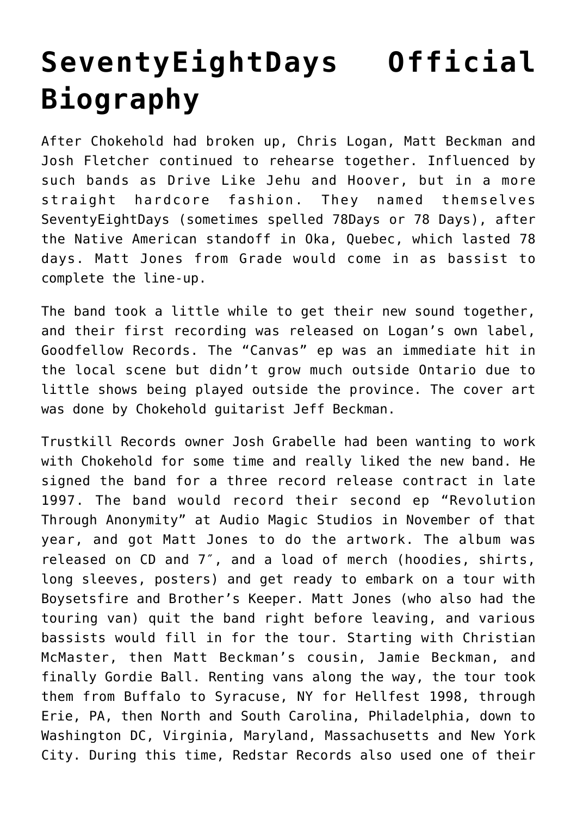## **[SeventyEightDays Official](http://www.abridgedpause.com/seventyeightdays) [Biography](http://www.abridgedpause.com/seventyeightdays)**

After Chokehold had broken up, Chris Logan, Matt Beckman and Josh Fletcher continued to rehearse together. Influenced by such bands as Drive Like Jehu and Hoover, but in a more straight hardcore fashion. They named themselves SeventyEightDays (sometimes spelled 78Days or 78 Days), after the Native American standoff in Oka, Quebec, which lasted 78 days. Matt Jones from Grade would come in as bassist to complete the line-up.

The band took a little while to get their new sound together, and their first recording was released on Logan's own label, Goodfellow Records. The "Canvas" ep was an immediate hit in the local scene but didn't grow much outside Ontario due to little shows being played outside the province. The cover art was done by Chokehold guitarist Jeff Beckman.

Trustkill Records owner Josh Grabelle had been wanting to work with Chokehold for some time and really liked the new band. He signed the band for a three record release contract in late 1997. The band would record their second ep "Revolution Through Anonymity" at Audio Magic Studios in November of that year, and got Matt Jones to do the artwork. The album was released on CD and 7″, and a load of merch (hoodies, shirts, long sleeves, posters) and get ready to embark on a tour with Boysetsfire and Brother's Keeper. Matt Jones (who also had the touring van) quit the band right before leaving, and various bassists would fill in for the tour. Starting with Christian McMaster, then Matt Beckman's cousin, Jamie Beckman, and finally Gordie Ball. Renting vans along the way, the tour took them from Buffalo to Syracuse, NY for Hellfest 1998, through Erie, PA, then North and South Carolina, Philadelphia, down to Washington DC, Virginia, Maryland, Massachusetts and New York City. During this time, [Redstar Records](http://abridgedpause.com/redstar-records) also used one of their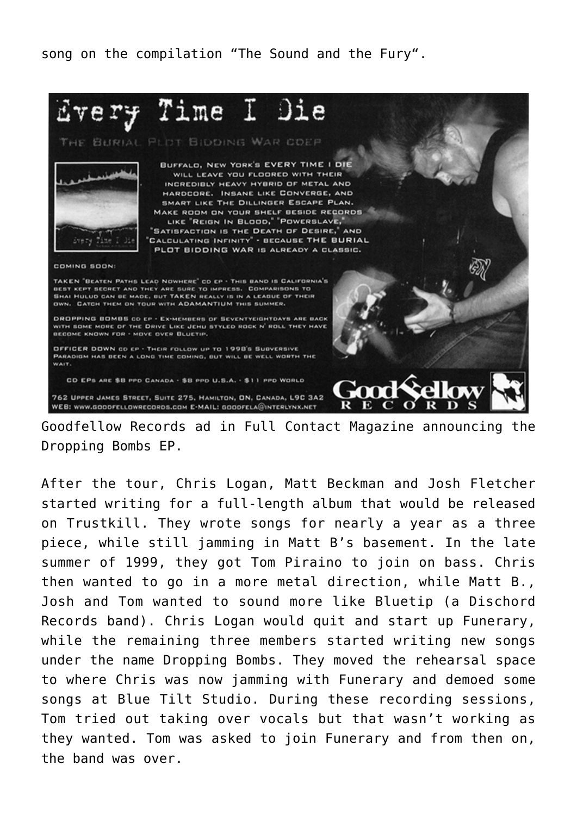song on the compilation "[The Sound and the Fury](http://abridgedpause.com/various-artists-compilations)".



Goodfellow Records ad in Full Contact Magazine announcing the Dropping Bombs EP.

After the tour, Chris Logan, Matt Beckman and Josh Fletcher started writing for a full-length album that would be released on Trustkill. They wrote songs for nearly a year as a three piece, while still jamming in Matt B's basement. In the late summer of 1999, they got Tom Piraino to join on bass. Chris then wanted to go in a more metal direction, while Matt B., Josh and Tom wanted to sound more like Bluetip (a Dischord Records band). Chris Logan would quit and start up [Funerary,](http://abridgedpause.com/funerary) while the remaining three members started writing new songs under the name Dropping Bombs. They moved the rehearsal space to where Chris was now jamming with Funerary and demoed some songs at Blue Tilt Studio. During these recording sessions, Tom tried out taking over vocals but that wasn't working as they wanted. Tom was asked to join Funerary and from then on, the band was over.